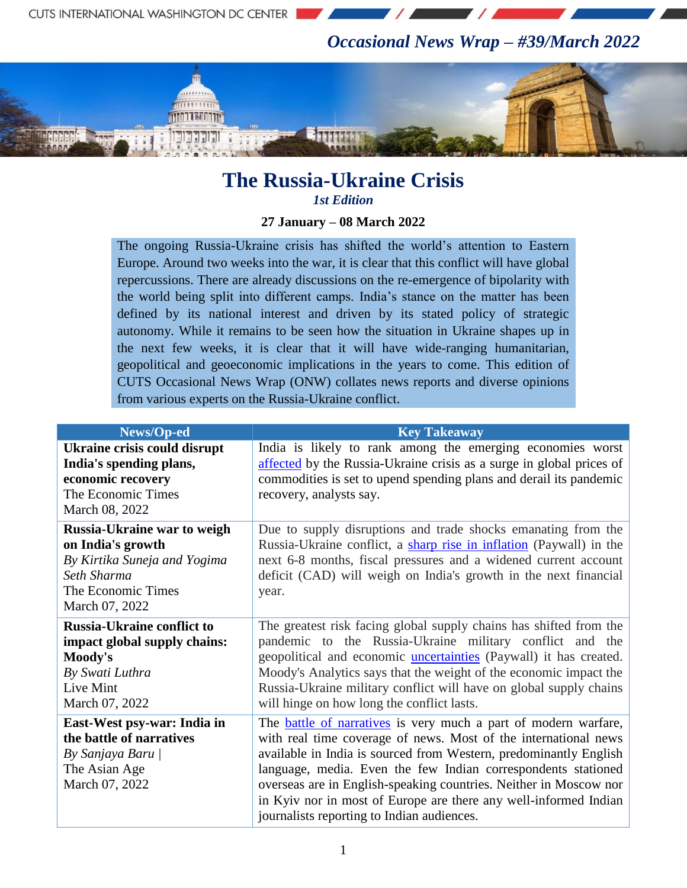*Occasional News Wrap – #39/March 2022*



## **The Russia-Ukraine Crisis** *1st Edition*

## **27 January – 08 March 2022**

The ongoing Russia-Ukraine crisis has shifted the world"s attention to Eastern Europe. Around two weeks into the war, it is clear that this conflict will have global repercussions. There are already discussions on the re-emergence of bipolarity with the world being split into different camps. India"s stance on the matter has been defined by its national interest and driven by its stated policy of strategic autonomy. While it remains to be seen how the situation in Ukraine shapes up in the next few weeks, it is clear that it will have wide-ranging humanitarian, geopolitical and geoeconomic implications in the years to come. This edition of CUTS Occasional News Wrap (ONW) collates news reports and diverse opinions from various experts on the Russia-Ukraine conflict.

| News/Op-ed                                                                                                                              | <b>Key Takeaway</b>                                                                                                                                                                                                                                                                                                                                                                                                                                                    |
|-----------------------------------------------------------------------------------------------------------------------------------------|------------------------------------------------------------------------------------------------------------------------------------------------------------------------------------------------------------------------------------------------------------------------------------------------------------------------------------------------------------------------------------------------------------------------------------------------------------------------|
| <b>Ukraine crisis could disrupt</b><br>India's spending plans,<br>economic recovery<br>The Economic Times<br>March 08, 2022             | India is likely to rank among the emerging economies worst<br>affected by the Russia-Ukraine crisis as a surge in global prices of<br>commodities is set to upend spending plans and derail its pandemic<br>recovery, analysts say.                                                                                                                                                                                                                                    |
| Russia-Ukraine war to weigh<br>on India's growth<br>By Kirtika Suneja and Yogima<br>Seth Sharma<br>The Economic Times<br>March 07, 2022 | Due to supply disruptions and trade shocks emanating from the<br>Russia-Ukraine conflict, a sharp rise in inflation (Paywall) in the<br>next 6-8 months, fiscal pressures and a widened current account<br>deficit (CAD) will weigh on India's growth in the next financial<br>year.                                                                                                                                                                                   |
| <b>Russia-Ukraine conflict to</b><br>impact global supply chains:<br>Moody's<br>By Swati Luthra<br>Live Mint<br>March 07, 2022          | The greatest risk facing global supply chains has shifted from the<br>pandemic to the Russia-Ukraine military conflict and the<br>geopolitical and economic <i>uncertainties</i> (Paywall) it has created.<br>Moody's Analytics says that the weight of the economic impact the<br>Russia-Ukraine military conflict will have on global supply chains<br>will hinge on how long the conflict lasts.                                                                    |
| East-West psy-war: India in<br>the battle of narratives<br>By Sanjaya Baru  <br>The Asian Age<br>March 07, 2022                         | The <b>battle of narratives</b> is very much a part of modern warfare,<br>with real time coverage of news. Most of the international news<br>available in India is sourced from Western, predominantly English<br>language, media. Even the few Indian correspondents stationed<br>overseas are in English-speaking countries. Neither in Moscow nor<br>in Kyiv nor in most of Europe are there any well-informed Indian<br>journalists reporting to Indian audiences. |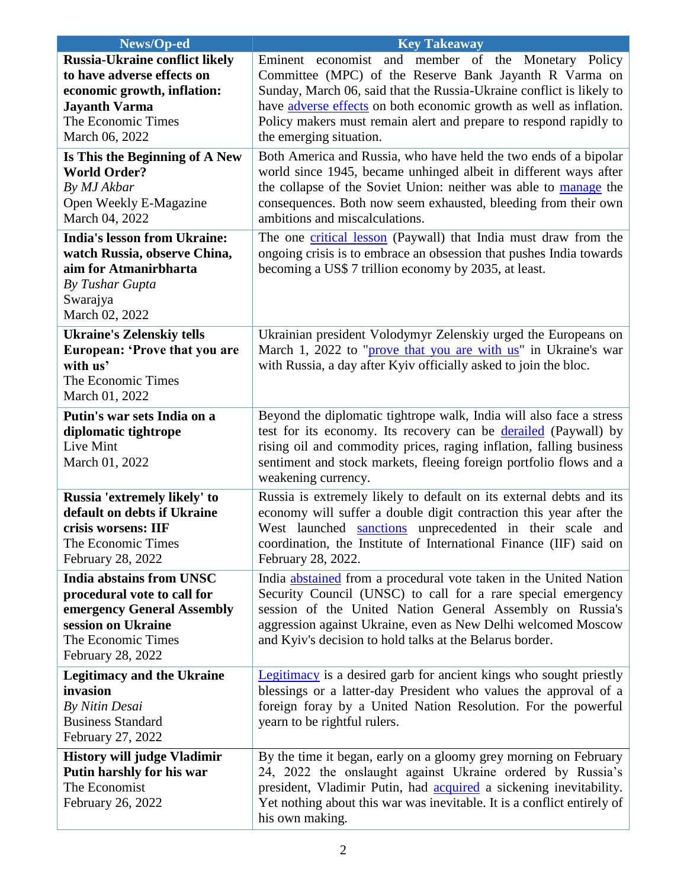| News/Op-ed                                                                                                                                                         | <b>Key Takeaway</b>                                                                                                                                                                                                                                                                                                                                         |
|--------------------------------------------------------------------------------------------------------------------------------------------------------------------|-------------------------------------------------------------------------------------------------------------------------------------------------------------------------------------------------------------------------------------------------------------------------------------------------------------------------------------------------------------|
| <b>Russia-Ukraine conflict likely</b><br>to have adverse effects on<br>economic growth, inflation:<br><b>Jayanth Varma</b><br>The Economic Times<br>March 06, 2022 | Eminent economist and member of the Monetary Policy<br>Committee (MPC) of the Reserve Bank Jayanth R Varma on<br>Sunday, March 06, said that the Russia-Ukraine conflict is likely to<br>have adverse effects on both economic growth as well as inflation.<br>Policy makers must remain alert and prepare to respond rapidly to<br>the emerging situation. |
| Is This the Beginning of A New<br><b>World Order?</b><br>By MJ Akbar<br>Open Weekly E-Magazine<br>March 04, 2022                                                   | Both America and Russia, who have held the two ends of a bipolar<br>world since 1945, became unhinged albeit in different ways after<br>the collapse of the Soviet Union: neither was able to manage the<br>consequences. Both now seem exhausted, bleeding from their own<br>ambitions and miscalculations.                                                |
| <b>India's lesson from Ukraine:</b><br>watch Russia, observe China,<br>aim for Atmanirbharta<br>By Tushar Gupta<br>Swarajya<br>March 02, 2022                      | The one critical lesson (Paywall) that India must draw from the<br>ongoing crisis is to embrace an obsession that pushes India towards<br>becoming a US\$ 7 trillion economy by 2035, at least.                                                                                                                                                             |
| <b>Ukraine's Zelenskiy tells</b><br>European: 'Prove that you are<br>with us'<br>The Economic Times<br>March 01, 2022                                              | Ukrainian president Volodymyr Zelenskiy urged the Europeans on<br>March 1, 2022 to "prove that you are with us" in Ukraine's war<br>with Russia, a day after Kyiv officially asked to join the bloc.                                                                                                                                                        |
| Putin's war sets India on a<br>diplomatic tightrope<br>Live Mint<br>March 01, 2022                                                                                 | Beyond the diplomatic tightrope walk, India will also face a stress<br>test for its economy. Its recovery can be derailed (Paywall) by<br>rising oil and commodity prices, raging inflation, falling business<br>sentiment and stock markets, fleeing foreign portfolio flows and a<br>weakening currency.                                                  |
| Russia 'extremely likely' to<br>default on debts if Ukraine<br>crisis worsens: IIF<br>The Economic Times<br>February 28, 2022                                      | Russia is extremely likely to default on its external debts and its<br>economy will suffer a double digit contraction this year after the<br>West launched sanctions unprecedented in their scale and<br>coordination, the Institute of International Finance (IIF) said on<br>February 28, 2022.                                                           |
| <b>India abstains from UNSC</b><br>procedural vote to call for<br>emergency General Assembly<br>session on Ukraine<br>The Economic Times<br>February 28, 2022      | India abstained from a procedural vote taken in the United Nation<br>Security Council (UNSC) to call for a rare special emergency<br>session of the United Nation General Assembly on Russia's<br>aggression against Ukraine, even as New Delhi welcomed Moscow<br>and Kyiv's decision to hold talks at the Belarus border.                                 |
| <b>Legitimacy and the Ukraine</b><br>invasion<br>By Nitin Desai<br><b>Business Standard</b><br>February 27, 2022                                                   | Legitimacy is a desired garb for ancient kings who sought priestly<br>blessings or a latter-day President who values the approval of a<br>foreign foray by a United Nation Resolution. For the powerful<br>yearn to be rightful rulers.                                                                                                                     |
| <b>History will judge Vladimir</b><br>Putin harshly for his war<br>The Economist<br>February 26, 2022                                                              | By the time it began, early on a gloomy grey morning on February<br>24, 2022 the onslaught against Ukraine ordered by Russia's<br>president, Vladimir Putin, had <b>acquired</b> a sickening inevitability.<br>Yet nothing about this war was inevitable. It is a conflict entirely of<br>his own making.                                                   |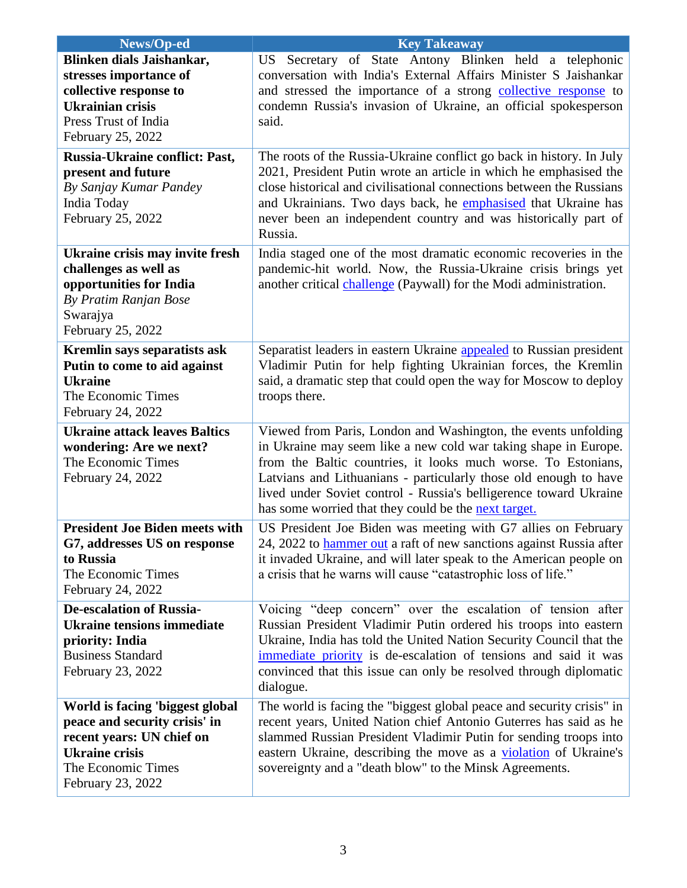| News/Op-ed                            | <b>Key Takeaway</b>                                                        |
|---------------------------------------|----------------------------------------------------------------------------|
| Blinken dials Jaishankar,             | US Secretary of State Antony Blinken held a telephonic                     |
| stresses importance of                | conversation with India's External Affairs Minister S Jaishankar           |
| collective response to                | and stressed the importance of a strong collective response to             |
| <b>Ukrainian crisis</b>               | condemn Russia's invasion of Ukraine, an official spokesperson             |
| Press Trust of India                  | said.                                                                      |
| February 25, 2022                     |                                                                            |
| Russia-Ukraine conflict: Past,        | The roots of the Russia-Ukraine conflict go back in history. In July       |
| present and future                    | 2021, President Putin wrote an article in which he emphasised the          |
| By Sanjay Kumar Pandey                | close historical and civilisational connections between the Russians       |
| India Today                           | and Ukrainians. Two days back, he emphasised that Ukraine has              |
| February 25, 2022                     | never been an independent country and was historically part of             |
|                                       | Russia.                                                                    |
| Ukraine crisis may invite fresh       | India staged one of the most dramatic economic recoveries in the           |
| challenges as well as                 | pandemic-hit world. Now, the Russia-Ukraine crisis brings yet              |
| opportunities for India               | another critical challenge (Paywall) for the Modi administration.          |
| By Pratim Ranjan Bose                 |                                                                            |
| Swarajya                              |                                                                            |
| February 25, 2022                     |                                                                            |
| Kremlin says separatists ask          | Separatist leaders in eastern Ukraine appealed to Russian president        |
| Putin to come to aid against          | Vladimir Putin for help fighting Ukrainian forces, the Kremlin             |
| <b>Ukraine</b>                        | said, a dramatic step that could open the way for Moscow to deploy         |
| The Economic Times                    | troops there.                                                              |
| February 24, 2022                     |                                                                            |
| <b>Ukraine attack leaves Baltics</b>  | Viewed from Paris, London and Washington, the events unfolding             |
| wondering: Are we next?               | in Ukraine may seem like a new cold war taking shape in Europe.            |
| The Economic Times                    | from the Baltic countries, it looks much worse. To Estonians,              |
| February 24, 2022                     | Latvians and Lithuanians - particularly those old enough to have           |
|                                       | lived under Soviet control - Russia's belligerence toward Ukraine          |
|                                       | has some worried that they could be the next target.                       |
| <b>President Joe Biden meets with</b> | US President Joe Biden was meeting with G7 allies on February              |
| G7, addresses US on response          | 24, 2022 to <b>hammer out</b> a raft of new sanctions against Russia after |
| to Russia                             | it invaded Ukraine, and will later speak to the American people on         |
| The Economic Times                    | a crisis that he warns will cause "catastrophic loss of life."             |
| February 24, 2022                     |                                                                            |
| <b>De-escalation of Russia-</b>       | Voicing "deep concern" over the escalation of tension after                |
| <b>Ukraine tensions immediate</b>     | Russian President Vladimir Putin ordered his troops into eastern           |
| priority: India                       | Ukraine, India has told the United Nation Security Council that the        |
| <b>Business Standard</b>              | immediate priority is de-escalation of tensions and said it was            |
| February 23, 2022                     | convinced that this issue can only be resolved through diplomatic          |
|                                       | dialogue.                                                                  |
| World is facing 'biggest global       | The world is facing the "biggest global peace and security crisis" in      |
| peace and security crisis' in         | recent years, United Nation chief Antonio Guterres has said as he          |
| recent years: UN chief on             | slammed Russian President Vladimir Putin for sending troops into           |
| <b>Ukraine crisis</b>                 | eastern Ukraine, describing the move as a violation of Ukraine's           |
| The Economic Times                    | sovereignty and a "death blow" to the Minsk Agreements.                    |
| February 23, 2022                     |                                                                            |